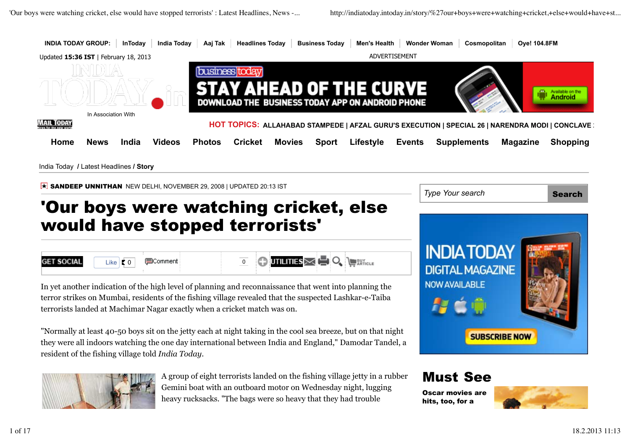

heavy rucksacks. "The bags were so heavy that they had trouble

Oscar movies are hits, too, for a